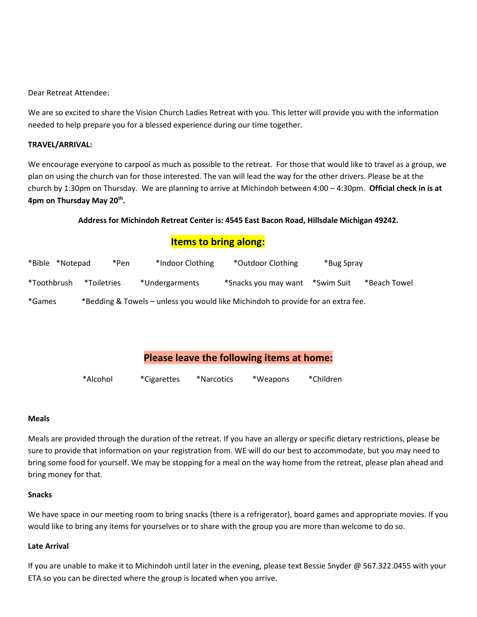Dear Retreat Attendee:

We are so excited to share the Vision Church Ladies Retreat with you. This letter will provide you with the information needed to help prepare you for a blessed experience during our time together.

#### **TRAVEL/ARRIVAL:**

We encourage everyone to carpool as much as possible to the retreat. For those that would like to travel as a group, we plan on using the church van for those interested. The van will lead the way for the other drivers. Please be at the church by 1:30pm on Thursday. We are planning to arrive at Michindoh between 4:00 – 4:30pm. **Official check in is at 4pm on Thursday May 20th .**

#### **Address for Michindoh Retreat Center is: 4545 East Bacon Road, Hillsdale Michigan 49242.**

## **Items to bring along:**

| *Bible<br>*Notepad | *Pen        | *Indoor Clothing | *Outdoor Clothing                                                                | *Bug Spray |              |
|--------------------|-------------|------------------|----------------------------------------------------------------------------------|------------|--------------|
| *Toothbrush        | *Toiletries | *Undergarments   | *Snacks you may want                                                             | *Swim Suit | *Beach Towel |
| *Games             |             |                  | *Bedding & Towels – unless you would like Michindoh to provide for an extra fee. |            |              |

## **Please leave the following items at home:**

| *Alcohol | <i>*</i> Cigarettes | *Narcotics | *Weapons | *Children |
|----------|---------------------|------------|----------|-----------|
|----------|---------------------|------------|----------|-----------|

#### **Meals**

Meals are provided through the duration of the retreat. If you have an allergy or specific dietary restrictions, please be sure to provide that information on your registration from. WE will do our best to accommodate, but you may need to bring some food for yourself. We may be stopping for a meal on the way home from the retreat, please plan ahead and bring money for that.

#### **Snacks**

We have space in our meeting room to bring snacks (there is a refrigerator), board games and appropriate movies. If you would like to bring any items for yourselves or to share with the group you are more than welcome to do so.

#### **Late Arrival**

If you are unable to make it to Michindoh until later in the evening, please text Bessie Snyder @ 567.322.0455 with your ETA so you can be directed where the group is located when you arrive.